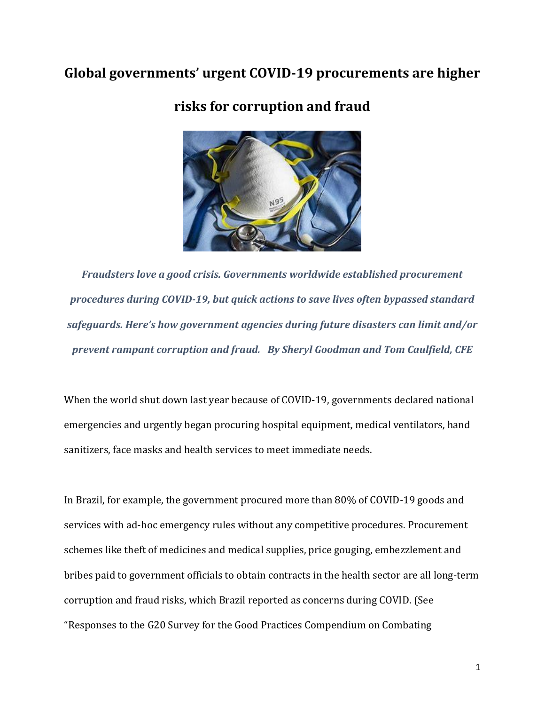# **Global governments' urgent COVID-19 procurements are higher**



# **risks for corruption and fraud**

*Fraudsters love a good crisis. Governments worldwide established procurement procedures during COVID-19, but quick actions to save lives often bypassed standard safeguards. Here's how government agencies during future disasters can limit and/or prevent rampant corruption and fraud. By Sheryl Goodman and Tom Caulfield, CFE*

When the world shut down last year because of COVID-19, governments declared national emergencies and urgently began procuring hospital equipment, medical ventilators, hand sanitizers, face masks and health services to meet immediate needs.

In Brazil, for example, the government procured more than 80% of COVID-19 goods and services with ad-hoc emergency rules without any competitive procedures. Procurement schemes like theft of medicines and medical supplies, price gouging, embezzlement and bribes paid to government officials to obtain contracts in the health sector are all long-term corruption and fraud risks, which Brazil reported as concerns during COVID. (See "Responses to the G20 Survey for the Good Practices Compendium on Combating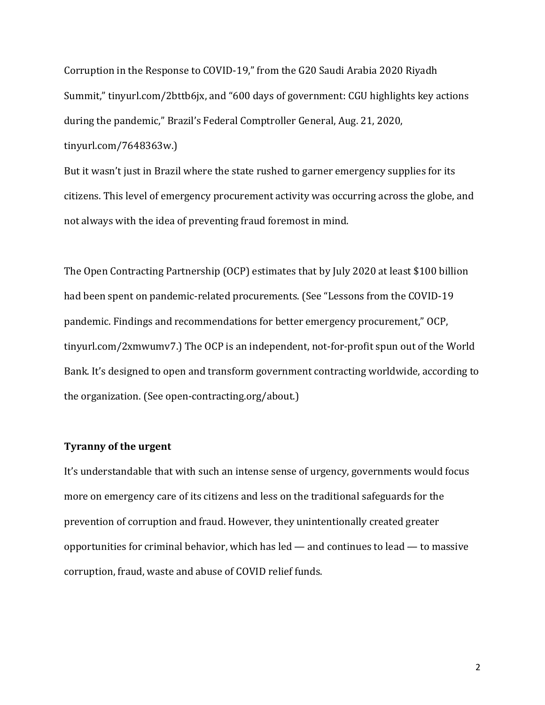Corruption in the Response to COVID-19," from the G20 Saudi Arabia 2020 Riyadh Summit," tinyurl.com/2bttb6jx, and "600 days of government: CGU highlights key actions during the pandemic," Brazil's Federal Comptroller General, Aug. 21, 2020, tinyurl.com/7648363w.)

But it wasn't just in Brazil where the state rushed to garner emergency supplies for its citizens. This level of emergency procurement activity was occurring across the globe, and not always with the idea of preventing fraud foremost in mind.

The Open Contracting Partnership (OCP) estimates that by July 2020 at least \$100 billion had been spent on pandemic-related procurements. (See "Lessons from the COVID-19 pandemic. Findings and recommendations for better emergency procurement," OCP, tinyurl.com/2xmwumv7.) The OCP is an independent, not-for-profit spun out of the World Bank. It's designed to open and transform government contracting worldwide, according to the organization. (See open-contracting.org/about.)

#### **Tyranny of the urgent**

It's understandable that with such an intense sense of urgency, governments would focus more on emergency care of its citizens and less on the traditional safeguards for the prevention of corruption and fraud. However, they unintentionally created greater opportunities for criminal behavior, which has led — and continues to lead — to massive corruption, fraud, waste and abuse of COVID relief funds.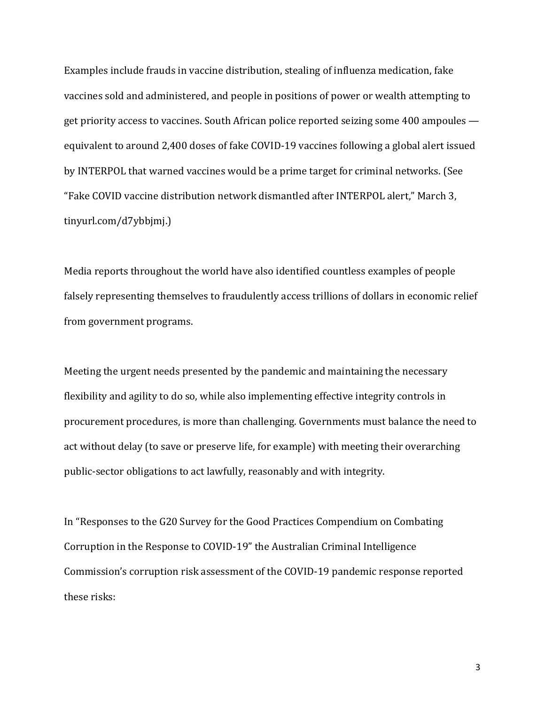Examples include frauds in vaccine distribution, stealing of influenza medication, fake vaccines sold and administered, and people in positions of power or wealth attempting to get priority access to vaccines. South African police reported seizing some 400 ampoules equivalent to around 2,400 doses of fake COVID-19 vaccines following a global alert issued by INTERPOL that warned vaccines would be a prime target for criminal networks. (See "Fake COVID vaccine distribution network dismantled after INTERPOL alert," March 3, tinyurl.com/d7ybbjmj.)

Media reports throughout the world have also identified countless examples of people falsely representing themselves to fraudulently access trillions of dollars in economic relief from government programs.

Meeting the urgent needs presented by the pandemic and maintaining the necessary flexibility and agility to do so, while also implementing effective integrity controls in procurement procedures, is more than challenging. Governments must balance the need to act without delay (to save or preserve life, for example) with meeting their overarching public-sector obligations to act lawfully, reasonably and with integrity.

In "Responses to the G20 Survey for the Good Practices Compendium on Combating Corruption in the Response to COVID-19" the Australian Criminal Intelligence Commission's corruption risk assessment of the COVID-19 pandemic response reported these risks:

3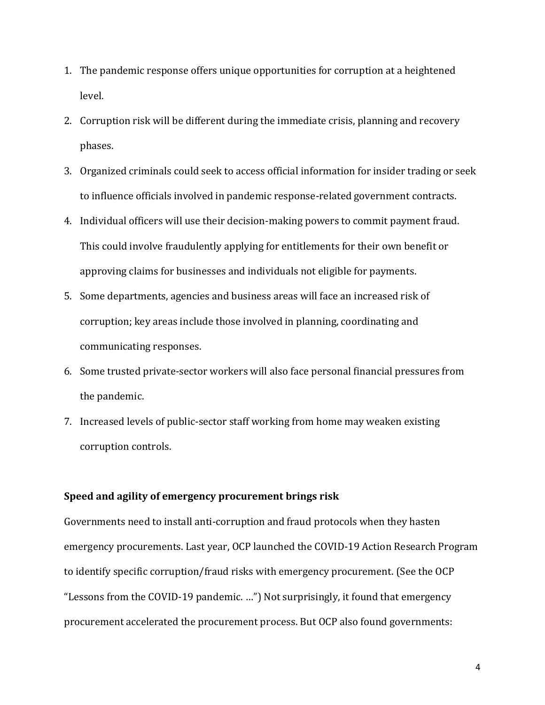- 1. The pandemic response offers unique opportunities for corruption at a heightened level.
- 2. Corruption risk will be different during the immediate crisis, planning and recovery phases.
- 3. Organized criminals could seek to access official information for insider trading or seek to influence officials involved in pandemic response-related government contracts.
- 4. Individual officers will use their decision-making powers to commit payment fraud. This could involve fraudulently applying for entitlements for their own benefit or approving claims for businesses and individuals not eligible for payments.
- 5. Some departments, agencies and business areas will face an increased risk of corruption; key areas include those involved in planning, coordinating and communicating responses.
- 6. Some trusted private-sector workers will also face personal financial pressures from the pandemic.
- 7. Increased levels of public-sector staff working from home may weaken existing corruption controls.

#### **Speed and agility of emergency procurement brings risk**

Governments need to install anti-corruption and fraud protocols when they hasten emergency procurements. Last year, OCP launched the COVID-19 Action Research Program to identify specific corruption/fraud risks with emergency procurement. (See the OCP "Lessons from the COVID-19 pandemic. …") Not surprisingly, it found that emergency procurement accelerated the procurement process. But OCP also found governments: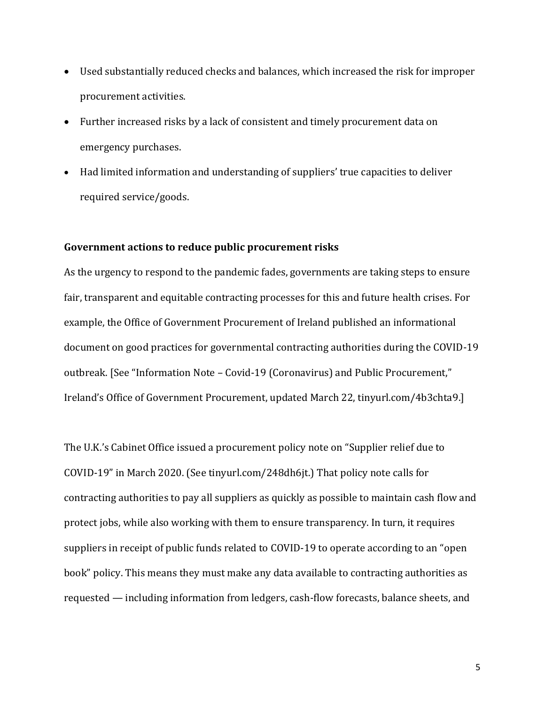- Used substantially reduced checks and balances, which increased the risk for improper procurement activities.
- Further increased risks by a lack of consistent and timely procurement data on emergency purchases.
- Had limited information and understanding of suppliers' true capacities to deliver required service/goods.

### **Government actions to reduce public procurement risks**

As the urgency to respond to the pandemic fades, governments are taking steps to ensure fair, transparent and equitable contracting processes for this and future health crises. For example, the Office of Government Procurement of Ireland published an informational document on good practices for governmental contracting authorities during the COVID-19 outbreak. [See "Information Note – Covid-19 (Coronavirus) and Public Procurement," Ireland's Office of Government Procurement, updated March 22, tinyurl.com/4b3chta9.]

The U.K.'s Cabinet Office issued a procurement policy note on "Supplier relief due to COVID-19" in March 2020. (See tinyurl.com/248dh6jt.) That policy note calls for contracting authorities to pay all suppliers as quickly as possible to maintain cash flow and protect jobs, while also working with them to ensure transparency. In turn, it requires suppliers in receipt of public funds related to COVID-19 to operate according to an "open book" policy. This means they must make any data available to contracting authorities as requested — including information from ledgers, cash-flow forecasts, balance sheets, and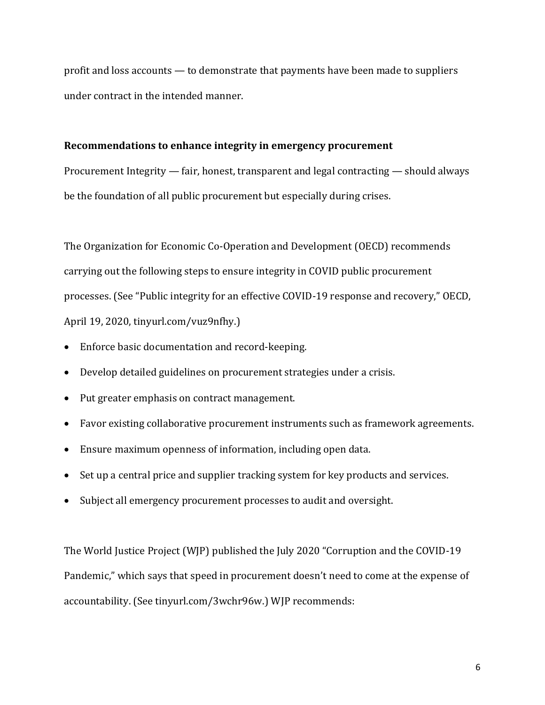profit and loss accounts — to demonstrate that payments have been made to suppliers under contract in the intended manner.

#### **Recommendations to enhance integrity in emergency procurement**

Procurement Integrity — fair, honest, transparent and legal contracting — should always be the foundation of all public procurement but especially during crises.

The Organization for Economic Co-Operation and Development (OECD) recommends carrying out the following steps to ensure integrity in COVID public procurement processes. (See "Public integrity for an effective COVID-19 response and recovery," OECD, April 19, 2020, tinyurl.com/vuz9nfhy.)

- Enforce basic documentation and record-keeping.
- Develop detailed guidelines on procurement strategies under a crisis.
- Put greater emphasis on contract management.
- Favor existing collaborative procurement instruments such as framework agreements.
- Ensure maximum openness of information, including open data.
- Set up a central price and supplier tracking system for key products and services.
- Subject all emergency procurement processes to audit and oversight.

The World Justice Project (WJP) published the July 2020 "Corruption and the COVID-19 Pandemic," which says that speed in procurement doesn't need to come at the expense of accountability. (See tinyurl.com/3wchr96w.) WJP recommends: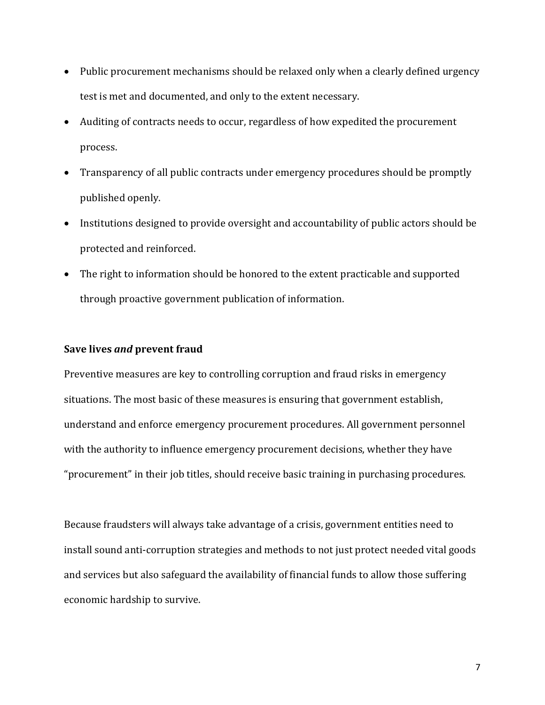- Public procurement mechanisms should be relaxed only when a clearly defined urgency test is met and documented, and only to the extent necessary.
- Auditing of contracts needs to occur, regardless of how expedited the procurement process.
- Transparency of all public contracts under emergency procedures should be promptly published openly.
- Institutions designed to provide oversight and accountability of public actors should be protected and reinforced.
- The right to information should be honored to the extent practicable and supported through proactive government publication of information.

#### **Save lives** *and* **prevent fraud**

Preventive measures are key to controlling corruption and fraud risks in emergency situations. The most basic of these measures is ensuring that government establish, understand and enforce emergency procurement procedures. All government personnel with the authority to influence emergency procurement decisions, whether they have "procurement" in their job titles, should receive basic training in purchasing procedures.

Because fraudsters will always take advantage of a crisis, government entities need to install sound anti-corruption strategies and methods to not just protect needed vital goods and services but also safeguard the availability of financial funds to allow those suffering economic hardship to survive.